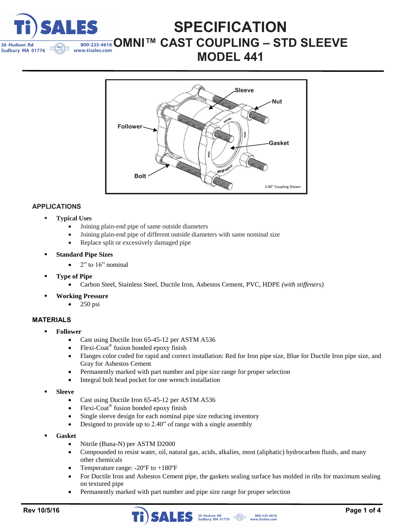

## **SPECIFICATION**   $\frac{1}{800-225-4616}$  OMNI™ CAST COUPLING - STD SLEEVE **MODEL 441**



## **APPLICATIONS**

- **Typical Uses**
	- Joining plain-end pipe of same outside diameters
	- Joining plain-end pipe of different outside diameters with same nominal size
	- Replace split or excessively damaged pipe
- **Standard Pipe Sizes**
	- 2" to 16" nominal
- **Type of Pipe**
	- Carbon Steel, Stainless Steel, Ductile Iron, Asbestos Cement, PVC, HDPE *(with stiffeners)*
	- **Working Pressure**
		- 250 psi

### **MATERIALS**

- **Follower**
	- Cast using Ductile Iron 65-45-12 per ASTM A536
	- Flexi-Coat® fusion bonded epoxy finish
	- Flanges color coded for rapid and correct installation: Red for Iron pipe size, Blue for Ductile Iron pipe size, and Gray for Asbestos Cement
	- Permanently marked with part number and pipe size range for proper selection
	- Integral bolt head pocket for one wrench installation
- **Sleeve**
	- Cast using Ductile Iron 65-45-12 per ASTM A536
	- $\bullet$  Flexi-Coat<sup>®</sup> fusion bonded epoxy finish
	- Single sleeve design for each nominal pipe size reducing inventory
	- Designed to provide up to 2.40" of range with a single assembly
- **Gasket**
	- Nitrile (Buna-N) per ASTM D2000
	- Compounded to resist water, oil, natural gas, acids, alkalies, most (aliphatic) hydrocarbon fluids, and many other chemicals
	- Temperature range: -20ºF to +180ºF
	- For Ductile Iron and Asbestos Cement pipe, the gaskets sealing surface has molded in ribs for maximum sealing on textured pipe
	- Permanently marked with part number and pipe size range for proper selection

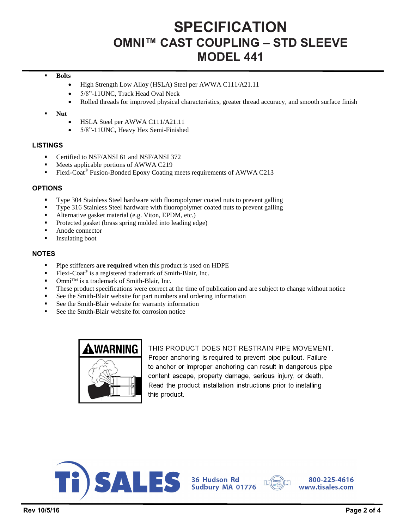# **SPECIFICATION OMNI™ CAST COUPLING – STD SLEEVE MODEL 441**

#### **Bolts**

- High Strength Low Alloy (HSLA) Steel per AWWA C111/A21.11
- 5/8"-11UNC, Track Head Oval Neck
- Rolled threads for improved physical characteristics, greater thread accuracy, and smooth surface finish
- **Nut**
	- HSLA Steel per AWWA C111/A21.11
	- 5/8"-11UNC, Heavy Hex Semi-Finished

#### **LISTINGS**

- Certified to NSF/ANSI 61 and NSF/ANSI 372
- Meets applicable portions of AWWA C219
- Flexi-Coat<sup>®</sup> Fusion-Bonded Epoxy Coating meets requirements of AWWA C213

#### **OPTIONS**

- Type 304 Stainless Steel hardware with fluoropolymer coated nuts to prevent galling
- Type 316 Stainless Steel hardware with fluoropolymer coated nuts to prevent galling
- Alternative gasket material (e.g. Viton, EPDM, etc.)
- Protected gasket (brass spring molded into leading edge)
- Anode connector
- **Insulating boot**

#### **NOTES**

- Pipe stiffeners **are required** when this product is used on HDPE
- Flexi-Coat<sup>®</sup> is a registered trademark of Smith-Blair, Inc.
- Omni<sup>™</sup> is a trademark of Smith-Blair, Inc.
- These product specifications were correct at the time of publication and are subject to change without notice
- See the Smith-Blair website for part numbers and ordering information
- See the Smith-Blair website for warranty information
- See the Smith-Blair website for corrosion notice



THIS PRODUCT DOES NOT RESTRAIN PIPE MOVEMENT. Proper anchoring is required to prevent pipe pullout. Failure to anchor or improper anchoring can result in dangerous pipe content escape, property damage, serious injury, or death. Read the product installation instructions prior to installing this product.



36 Hudson Rd<br>Sudbury MA 01776



800-225-4616 www.tisales.com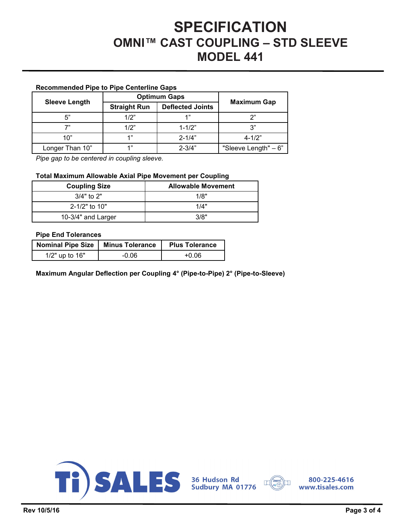## **SPECIFICATION OMNI™ CAST COUPLING – STD SLEEVE MODEL 441**

### **Recommended Pipe to Pipe Centerline Gaps**

|                      | <b>Optimum Gaps</b> |                         |                      |  |  |
|----------------------|---------------------|-------------------------|----------------------|--|--|
| <b>Sleeve Length</b> | <b>Straight Run</b> | <b>Deflected Joints</b> | <b>Maximum Gap</b>   |  |  |
| 5"                   | 1/2"                | 1"                      | າ"                   |  |  |
| 7"                   | 1/2"                | $1 - 1/2"$              | ري.                  |  |  |
| 10"                  | 49                  | $2 - 1/4"$              | $4 - 1/2"$           |  |  |
| Longer Than 10"      | 49                  | $2 - 3/4"$              | "Sleeve Length" - 6" |  |  |

*Pipe gap to be centered in coupling sleeve.* 

#### **Total Maximum Allowable Axial Pipe Movement per Coupling**

| <b>Coupling Size</b> | <b>Allowable Movement</b> |
|----------------------|---------------------------|
| $3/4"$ to 2"         | 1/8"                      |
| $2 - 1/2"$ to 10"    | 1/4"                      |
| 10-3/4" and Larger   | 3/8"                      |

#### **Pipe End Tolerances**

| Nominal Pipe Size   Minus Tolerance |         | <b>Plus Tolerance</b> |
|-------------------------------------|---------|-----------------------|
| 1/2" up to 16"                      | $-0.06$ | +0.06                 |

**Maximum Angular Deflection per Coupling 4° (Pipe-to-Pipe) 2° (Pipe-to-Sleeve)** 





800-225-4616 www.tisales.com